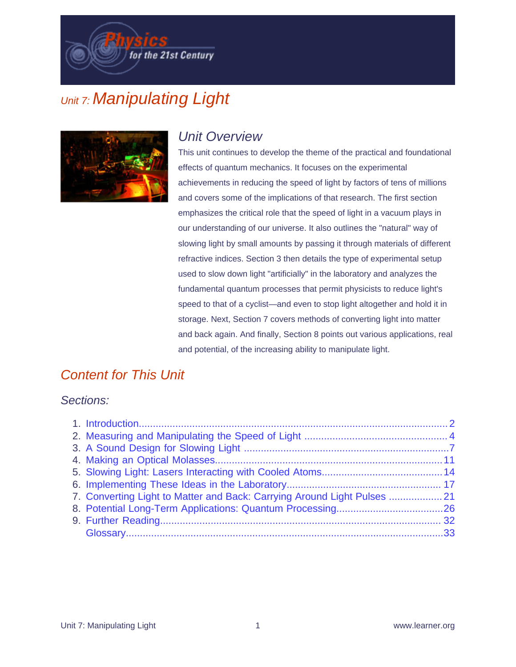for the 21st Century

# Unit 7: Manipulating Light



### Unit Overview

This unit continues to develop the theme of the practical and foundational effects of quantum mechanics. It focuses on the experimental achievements in reducing the speed of light by factors of tens of millions and covers some of the implications of that research. The first section emphasizes the critical role that the speed of light in a vacuum plays in our understanding of our universe. It also outlines the "natural" way of slowing light by small amounts by passing it through materials of different refractive indices. Section 3 then details the type of experimental setup used to slow down light "artificially" in the laboratory and analyzes the fundamental quantum processes that permit physicists to reduce light's speed to that of a cyclist—and even to stop light altogether and hold it in storage. Next, Section 7 covers methods of converting light into matter and back again. And finally, Section 8 points out various applications, real and potential, of the increasing ability to manipulate light.

### Content for This Unit

#### Sections:

| 7. Converting Light to Matter and Back: Carrying Around Light Pulses  21 |  |
|--------------------------------------------------------------------------|--|
|                                                                          |  |
|                                                                          |  |
|                                                                          |  |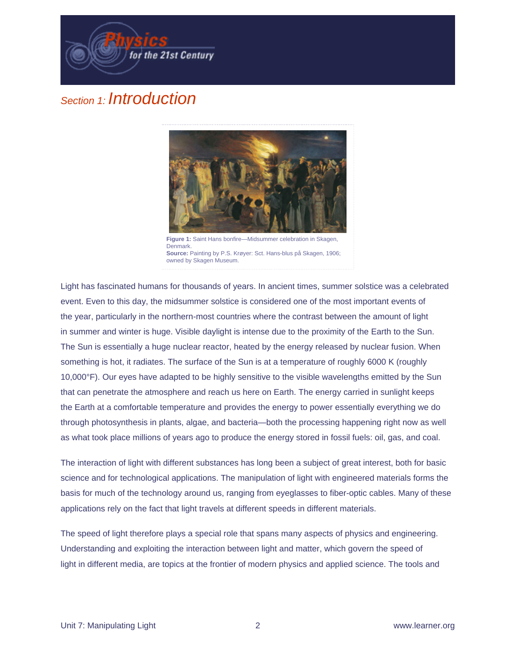

### Section 1: Introduction



**Figure 1:** Saint Hans bonfire—Midsummer celebration in Skagen, **Denmark Source:** Painting by P.S. Krøyer: Sct. Hans-blus på Skagen, 1906; owned by Skagen Museum.

Light has fascinated humans for thousands of years. In ancient times, summer solstice was a celebrated event. Even to this day, the midsummer solstice is considered one of the most important events of the year, particularly in the northern-most countries where the contrast between the amount of light in summer and winter is huge. Visible daylight is intense due to the proximity of the Earth to the Sun. The Sun is essentially a huge nuclear reactor, heated by the energy released by nuclear fusion. When something is hot, it radiates. The surface of the Sun is at a temperature of roughly 6000 K (roughly 10,000°F). Our eyes have adapted to be highly sensitive to the visible wavelengths emitted by the Sun that can penetrate the atmosphere and reach us here on Earth. The energy carried in sunlight keeps the Earth at a comfortable temperature and provides the energy to power essentially everything we do through photosynthesis in plants, algae, and bacteria—both the processing happening right now as well as what took place millions of years ago to produce the energy stored in fossil fuels: oil, gas, and coal.

The interaction of light with different substances has long been a subject of great interest, both for basic science and for technological applications. The manipulation of light with engineered materials forms the basis for much of the technology around us, ranging from eyeglasses to fiber-optic cables. Many of these applications rely on the fact that light travels at different speeds in different materials.

The speed of light therefore plays a special role that spans many aspects of physics and engineering. Understanding and exploiting the interaction between light and matter, which govern the speed of light in different media, are topics at the frontier of modern physics and applied science. The tools and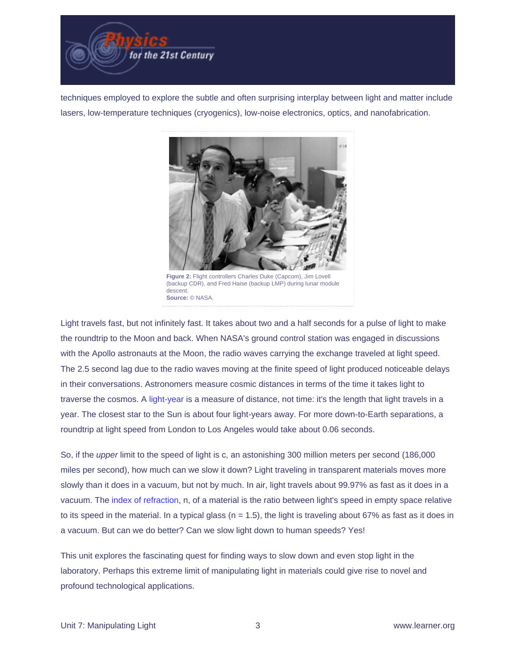

techniques employed to explore the subtle and often surprising interplay between light and matter include lasers, low-temperature techniques (cryogenics), low-noise electronics, optics, and nanofabrication.



**Figure 2:** Flight controllers Charles Duke (Capcom), Jim Lovell (backup CDR), and Fred Haise (backup LMP) during lunar module descent. **Source:** © NASA.

Light travels fast, but not infinitely fast. It takes about two and a half seconds for a pulse of light to make the roundtrip to the Moon and back. When NASA's ground control station was engaged in discussions with the Apollo astronauts at the Moon, the radio waves carrying the exchange traveled at light speed. The 2.5 second lag due to the radio waves moving at the finite speed of light produced noticeable delays in their conversations. Astronomers measure cosmic distances in terms of the time it takes light to traverse the cosmos. A [light-year](http://physics.digitalgizmo.com/courses/physics/glossary/definition.html?invariant=lightyears) is a measure of distance, not time: it's the length that light travels in a year. The closest star to the Sun is about four light-years away. For more down-to-Earth separations, a roundtrip at light speed from London to Los Angeles would take about 0.06 seconds.

So, if the upper limit to the speed of light is c, an astonishing 300 million meters per second (186,000 miles per second), how much can we slow it down? Light traveling in transparent materials moves more slowly than it does in a vacuum, but not by much. In air, light travels about 99.97% as fast as it does in a vacuum. The [index of refraction](http://physics.digitalgizmo.com/courses/physics/glossary/definition.html?invariant=index_refraction), n, of a material is the ratio between light's speed in empty space relative to its speed in the material. In a typical glass ( $n = 1.5$ ), the light is traveling about 67% as fast as it does in a vacuum. But can we do better? Can we slow light down to human speeds? Yes!

This unit explores the fascinating quest for finding ways to slow down and even stop light in the laboratory. Perhaps this extreme limit of manipulating light in materials could give rise to novel and profound technological applications.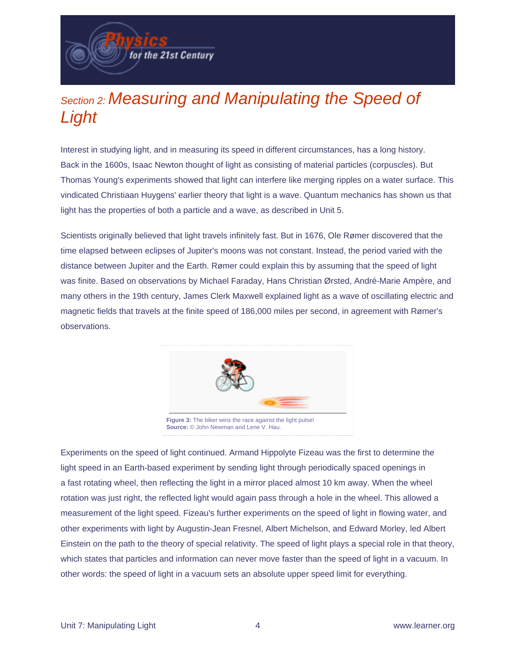Section 2: Measuring and Manipulating the Speed of Light

for the 21st Century

Interest in studying light, and in measuring its speed in different circumstances, has a long history. Back in the 1600s, Isaac Newton thought of light as consisting of material particles (corpuscles). But Thomas Young's experiments showed that light can interfere like merging ripples on a water surface. This vindicated Christiaan Huygens' earlier theory that light is a wave. Quantum mechanics has shown us that light has the properties of both a particle and a wave, as described in Unit 5.

Scientists originally believed that light travels infinitely fast. But in 1676, Ole Rømer discovered that the time elapsed between eclipses of Jupiter's moons was not constant. Instead, the period varied with the distance between Jupiter and the Earth. Rømer could explain this by assuming that the speed of light was finite. Based on observations by Michael Faraday, Hans Christian Ørsted, André-Marie Ampère, and many others in the 19th century, James Clerk Maxwell explained light as a wave of oscillating electric and magnetic fields that travels at the finite speed of 186,000 miles per second, in agreement with Rømer's observations.



Experiments on the speed of light continued. Armand Hippolyte Fizeau was the first to determine the light speed in an Earth-based experiment by sending light through periodically spaced openings in a fast rotating wheel, then reflecting the light in a mirror placed almost 10 km away. When the wheel rotation was just right, the reflected light would again pass through a hole in the wheel. This allowed a measurement of the light speed. Fizeau's further experiments on the speed of light in flowing water, and other experiments with light by Augustin-Jean Fresnel, Albert Michelson, and Edward Morley, led Albert Einstein on the path to the theory of special relativity. The speed of light plays a special role in that theory, which states that particles and information can never move faster than the speed of light in a vacuum. In other words: the speed of light in a vacuum sets an absolute upper speed limit for everything.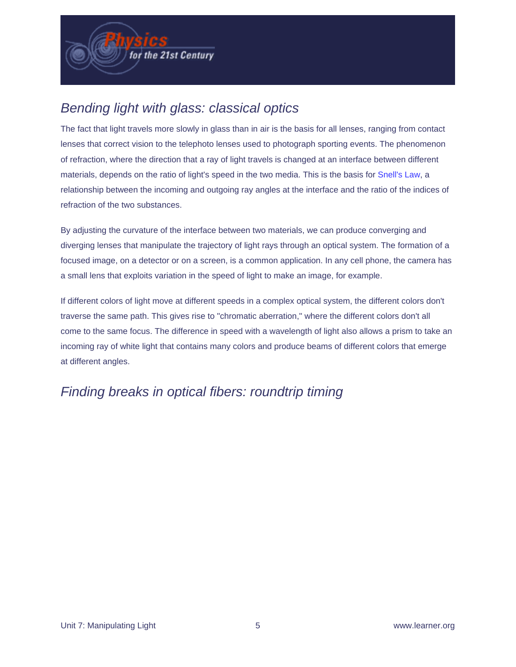### Bending light with glass: classical optics

The fact that light travels more slowly in glass than in air is the basis for all lenses, ranging from contact lenses that correct vision to the telephoto lenses used to photograph sporting events. The phenomenon of refraction, where the direction that a ray of light travels is changed at an interface between different materials, depends on the ratio of light's speed in the two media. This is the basis for [Snell's Law,](http://physics.digitalgizmo.com/courses/physics/glossary/definition.html?invariant=snell_law) a relationship between the incoming and outgoing ray angles at the interface and the ratio of the indices of refraction of the two substances.

By adjusting the curvature of the interface between two materials, we can produce converging and diverging lenses that manipulate the trajectory of light rays through an optical system. The formation of a focused image, on a detector or on a screen, is a common application. In any cell phone, the camera has a small lens that exploits variation in the speed of light to make an image, for example.

If different colors of light move at different speeds in a complex optical system, the different colors don't traverse the same path. This gives rise to "chromatic aberration," where the different colors don't all come to the same focus. The difference in speed with a wavelength of light also allows a prism to take an incoming ray of white light that contains many colors and produce beams of different colors that emerge at different angles.

### Finding breaks in optical fibers: roundtrip timing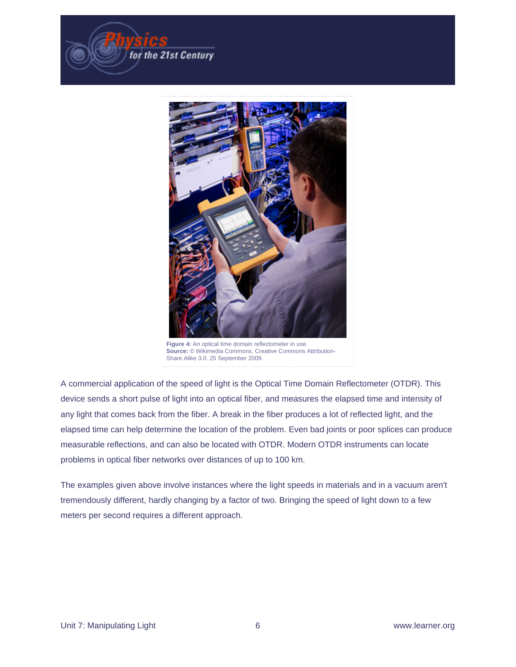



Figure 4: An optical time domain reflectometer in use **Source:** © Wikimedia Commons, Creative Commons Attribution-Share Alike 3.0. 25 September 2009.

A commercial application of the speed of light is the Optical Time Domain Reflectometer (OTDR). This device sends a short pulse of light into an optical fiber, and measures the elapsed time and intensity of any light that comes back from the fiber. A break in the fiber produces a lot of reflected light, and the elapsed time can help determine the location of the problem. Even bad joints or poor splices can produce measurable reflections, and can also be located with OTDR. Modern OTDR instruments can locate problems in optical fiber networks over distances of up to 100 km.

The examples given above involve instances where the light speeds in materials and in a vacuum aren't tremendously different, hardly changing by a factor of two. Bringing the speed of light down to a few meters per second requires a different approach.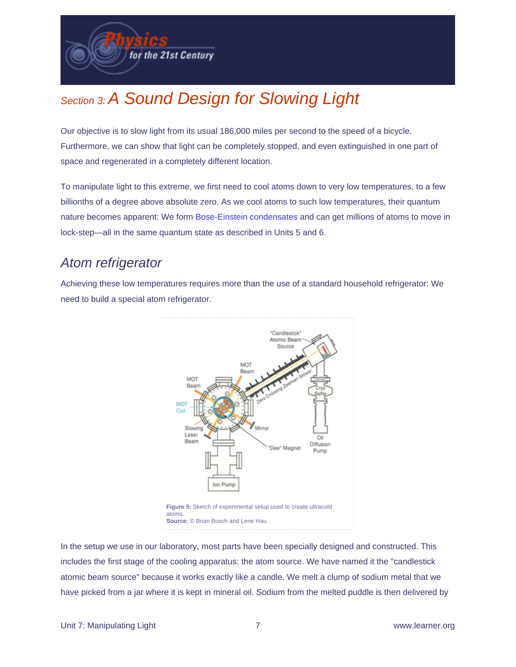

# Section 3: A Sound Design for Slowing Light

Our objective is to slow light from its usual 186,000 miles per second to the speed of a bicycle. Furthermore, we can show that light can be completely stopped, and even extinguished in one part of space and regenerated in a completely different location.

To manipulate light to this extreme, we first need to cool atoms down to very low temperatures, to a few billionths of a degree above absolute zero. As we cool atoms to such low temperatures, their quantum nature becomes apparent: We form [Bose-Einstein condensates](http://physics.digitalgizmo.com/courses/physics/glossary/definition.html?invariant=Bose_Einstein_Condensate) and can get millions of atoms to move in lock-step—all in the same quantum state as described in Units 5 and 6.

#### Atom refrigerator

Achieving these low temperatures requires more than the use of a standard household refrigerator: We need to build a special atom refrigerator.



In the setup we use in our laboratory, most parts have been specially designed and constructed. This includes the first stage of the cooling apparatus: the atom source. We have named it the "candlestick atomic beam source" because it works exactly like a candle. We melt a clump of sodium metal that we have picked from a jar where it is kept in mineral oil. Sodium from the melted puddle is then delivered by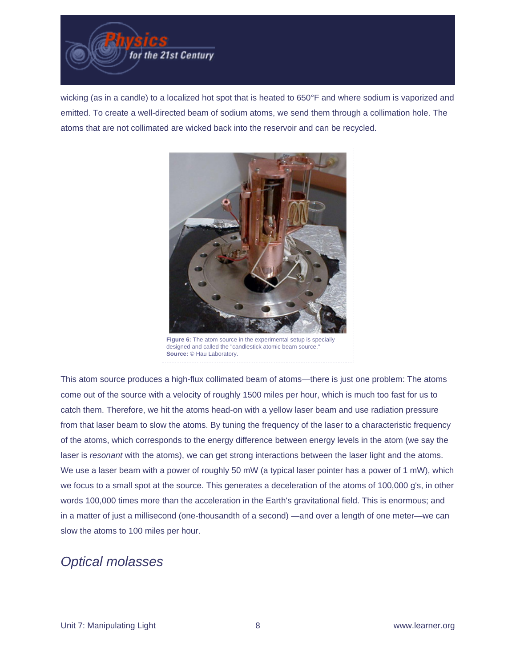

wicking (as in a candle) to a localized hot spot that is heated to 650°F and where sodium is vaporized and emitted. To create a well-directed beam of sodium atoms, we send them through a collimation hole. The atoms that are not collimated are wicked back into the reservoir and can be recycled.



**Figure 6:** The atom source in the experimental setup is specially designed and called the "candlestick atomic beam source." **Source:** © Hau Laboratory.

This atom source produces a high-flux collimated beam of atoms—there is just one problem: The atoms come out of the source with a velocity of roughly 1500 miles per hour, which is much too fast for us to catch them. Therefore, we hit the atoms head-on with a yellow laser beam and use radiation pressure from that laser beam to slow the atoms. By tuning the frequency of the laser to a characteristic frequency of the atoms, which corresponds to the energy difference between energy levels in the atom (we say the laser is resonant with the atoms), we can get strong interactions between the laser light and the atoms. We use a laser beam with a power of roughly 50 mW (a typical laser pointer has a power of 1 mW), which we focus to a small spot at the source. This generates a deceleration of the atoms of 100,000 g's, in other words 100,000 times more than the acceleration in the Earth's gravitational field. This is enormous; and in a matter of just a millisecond (one-thousandth of a second) —and over a length of one meter—we can slow the atoms to 100 miles per hour.

#### Optical molasses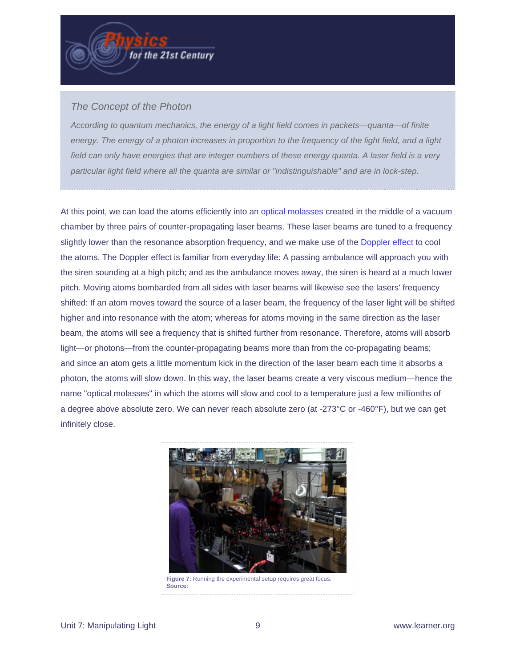#### The Concept of the Photon

According to quantum mechanics, the energy of a light field comes in packets—quanta—of finite energy. The energy of a photon increases in proportion to the frequency of the light field, and a light field can only have energies that are integer numbers of these energy quanta. A laser field is a very particular light field where all the quanta are similar or "indistinguishable" and are in lock-step.

At this point, we can load the atoms efficiently into an [optical molasses](http://physics.digitalgizmo.com/courses/physics/glossary/definition.html?invariant=optical_molasses) created in the middle of a vacuum chamber by three pairs of counter-propagating laser beams. These laser beams are tuned to a frequency slightly lower than the resonance absorption frequency, and we make use of the [Doppler effect](http://physics.digitalgizmo.com/courses/physics/glossary/definition.html?invariant=doppler_shift) to cool the atoms. The Doppler effect is familiar from everyday life: A passing ambulance will approach you with the siren sounding at a high pitch; and as the ambulance moves away, the siren is heard at a much lower pitch. Moving atoms bombarded from all sides with laser beams will likewise see the lasers' frequency shifted: If an atom moves toward the source of a laser beam, the frequency of the laser light will be shifted higher and into resonance with the atom; whereas for atoms moving in the same direction as the laser beam, the atoms will see a frequency that is shifted further from resonance. Therefore, atoms will absorb light—or photons—from the counter-propagating beams more than from the co-propagating beams; and since an atom gets a little momentum kick in the direction of the laser beam each time it absorbs a photon, the atoms will slow down. In this way, the laser beams create a very viscous medium—hence the name "optical molasses" in which the atoms will slow and cool to a temperature just a few millionths of a degree above absolute zero. We can never reach absolute zero (at -273°C or -460°F), but we can get infinitely close.

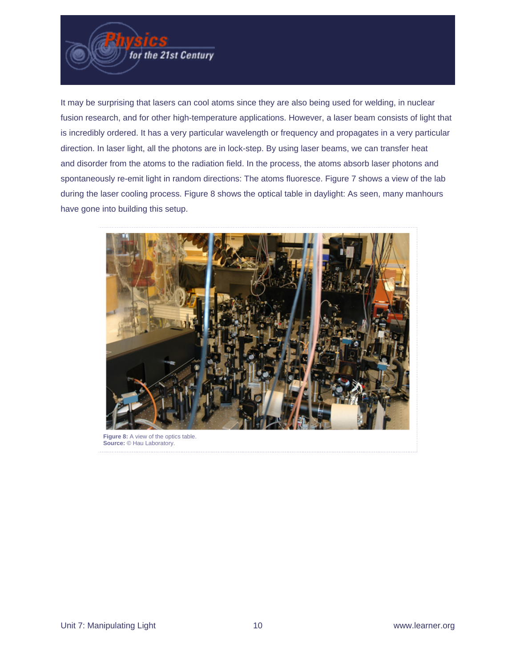

It may be surprising that lasers can cool atoms since they are also being used for welding, in nuclear fusion research, and for other high-temperature applications. However, a laser beam consists of light that is incredibly ordered. It has a very particular wavelength or frequency and propagates in a very particular direction. In laser light, all the photons are in lock-step. By using laser beams, we can transfer heat and disorder from the atoms to the radiation field. In the process, the atoms absorb laser photons and spontaneously re-emit light in random directions: The atoms fluoresce. Figure 7 shows a view of the lab during the laser cooling process. Figure 8 shows the optical table in daylight: As seen, many manhours have gone into building this setup.



**Source:** © Hau Laboratory.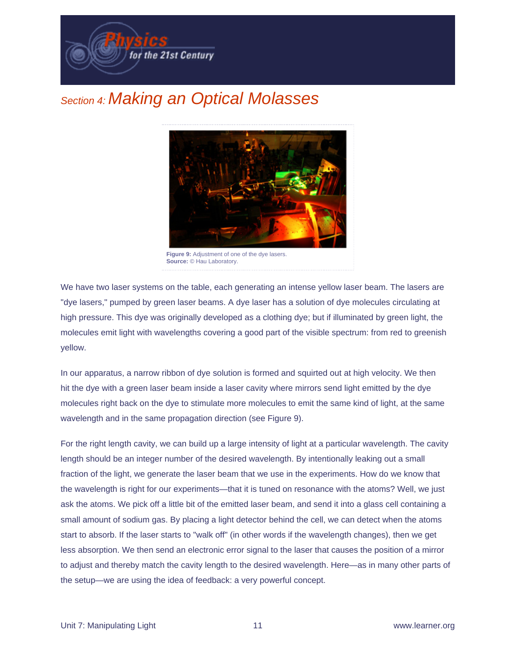

## Section 4: Making an Optical Molasses



**Source:** © Hau Laboratory.

We have two laser systems on the table, each generating an intense yellow laser beam. The lasers are "dye lasers," pumped by green laser beams. A dye laser has a solution of dye molecules circulating at high pressure. This dye was originally developed as a clothing dye; but if illuminated by green light, the molecules emit light with wavelengths covering a good part of the visible spectrum: from red to greenish yellow.

In our apparatus, a narrow ribbon of dye solution is formed and squirted out at high velocity. We then hit the dye with a green laser beam inside a laser cavity where mirrors send light emitted by the dye molecules right back on the dye to stimulate more molecules to emit the same kind of light, at the same wavelength and in the same propagation direction (see Figure 9).

For the right length cavity, we can build up a large intensity of light at a particular wavelength. The cavity length should be an integer number of the desired wavelength. By intentionally leaking out a small fraction of the light, we generate the laser beam that we use in the experiments. How do we know that the wavelength is right for our experiments—that it is tuned on resonance with the atoms? Well, we just ask the atoms. We pick off a little bit of the emitted laser beam, and send it into a glass cell containing a small amount of sodium gas. By placing a light detector behind the cell, we can detect when the atoms start to absorb. If the laser starts to "walk off" (in other words if the wavelength changes), then we get less absorption. We then send an electronic error signal to the laser that causes the position of a mirror to adjust and thereby match the cavity length to the desired wavelength. Here—as in many other parts of the setup—we are using the idea of feedback: a very powerful concept.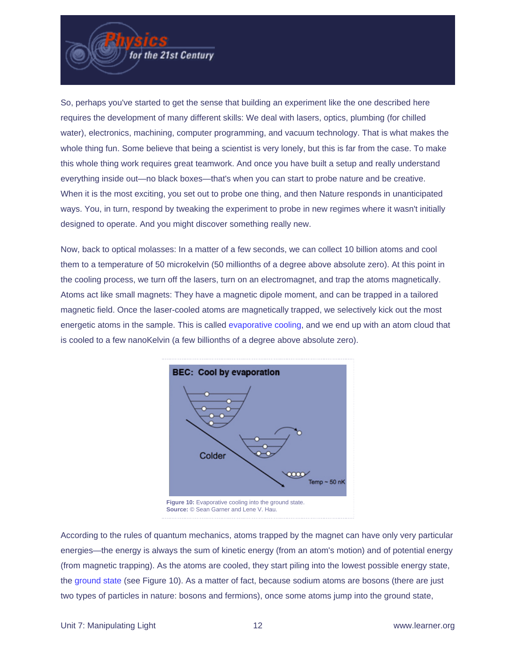

So, perhaps you've started to get the sense that building an experiment like the one described here requires the development of many different skills: We deal with lasers, optics, plumbing (for chilled water), electronics, machining, computer programming, and vacuum technology. That is what makes the whole thing fun. Some believe that being a scientist is very lonely, but this is far from the case. To make this whole thing work requires great teamwork. And once you have built a setup and really understand everything inside out—no black boxes—that's when you can start to probe nature and be creative. When it is the most exciting, you set out to probe one thing, and then Nature responds in unanticipated ways. You, in turn, respond by tweaking the experiment to probe in new regimes where it wasn't initially designed to operate. And you might discover something really new.

Now, back to optical molasses: In a matter of a few seconds, we can collect 10 billion atoms and cool them to a temperature of 50 microkelvin (50 millionths of a degree above absolute zero). At this point in the cooling process, we turn off the lasers, turn on an electromagnet, and trap the atoms magnetically. Atoms act like small magnets: They have a magnetic dipole moment, and can be trapped in a tailored magnetic field. Once the laser-cooled atoms are magnetically trapped, we selectively kick out the most energetic atoms in the sample. This is called [evaporative cooling,](http://physics.digitalgizmo.com/courses/physics/glossary/definition.html?invariant=evaporative_cooling) and we end up with an atom cloud that is cooled to a few nanoKelvin (a few billionths of a degree above absolute zero).



According to the rules of quantum mechanics, atoms trapped by the magnet can have only very particular energies—the energy is always the sum of kinetic energy (from an atom's motion) and of potential energy (from magnetic trapping). As the atoms are cooled, they start piling into the lowest possible energy state, the [ground state](http://physics.digitalgizmo.com/courses/physics/glossary/definition.html?invariant=ground_state) (see Figure 10). As a matter of fact, because sodium atoms are bosons (there are just two types of particles in nature: bosons and fermions), once some atoms jump into the ground state,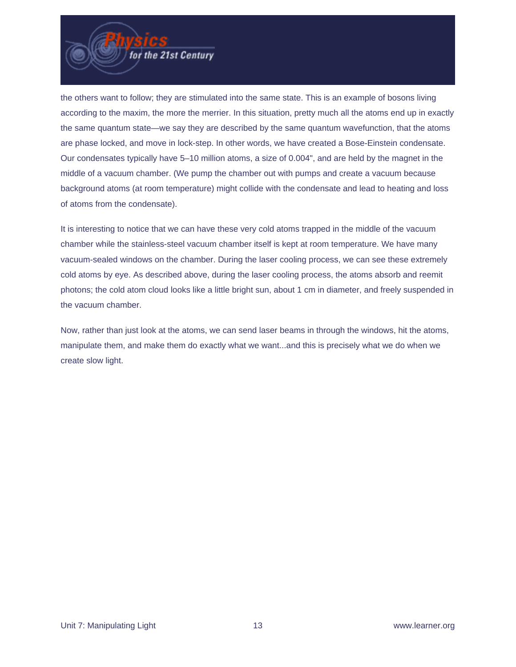

the others want to follow; they are stimulated into the same state. This is an example of bosons living according to the maxim, the more the merrier. In this situation, pretty much all the atoms end up in exactly the same quantum state—we say they are described by the same quantum wavefunction, that the atoms are phase locked, and move in lock-step. In other words, we have created a Bose-Einstein condensate. Our condensates typically have 5–10 million atoms, a size of 0.004", and are held by the magnet in the middle of a vacuum chamber. (We pump the chamber out with pumps and create a vacuum because background atoms (at room temperature) might collide with the condensate and lead to heating and loss of atoms from the condensate).

It is interesting to notice that we can have these very cold atoms trapped in the middle of the vacuum chamber while the stainless-steel vacuum chamber itself is kept at room temperature. We have many vacuum-sealed windows on the chamber. During the laser cooling process, we can see these extremely cold atoms by eye. As described above, during the laser cooling process, the atoms absorb and reemit photons; the cold atom cloud looks like a little bright sun, about 1 cm in diameter, and freely suspended in the vacuum chamber.

Now, rather than just look at the atoms, we can send laser beams in through the windows, hit the atoms, manipulate them, and make them do exactly what we want...and this is precisely what we do when we create slow light.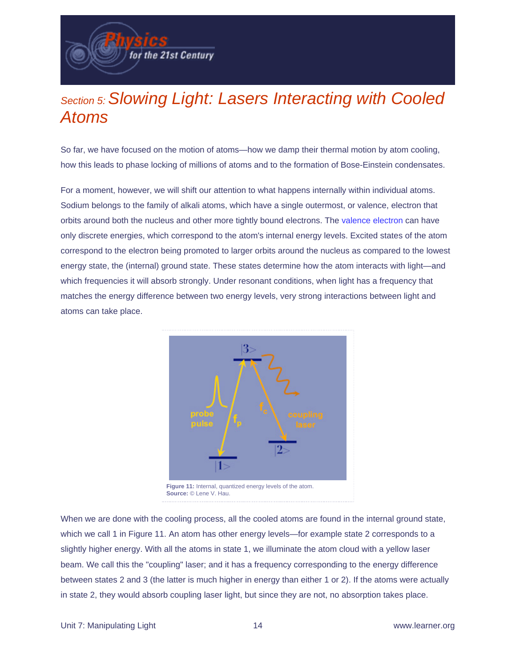## Section 5: Slowing Light: Lasers Interacting with Cooled Atoms

for the 21st Century

So far, we have focused on the motion of atoms—how we damp their thermal motion by atom cooling, how this leads to phase locking of millions of atoms and to the formation of Bose-Einstein condensates.

For a moment, however, we will shift our attention to what happens internally within individual atoms. Sodium belongs to the family of alkali atoms, which have a single outermost, or valence, electron that orbits around both the nucleus and other more tightly bound electrons. The [valence electron](http://physics.digitalgizmo.com/courses/physics/glossary/definition.html?invariant=valence_electrons) can have only discrete energies, which correspond to the atom's internal energy levels. Excited states of the atom correspond to the electron being promoted to larger orbits around the nucleus as compared to the lowest energy state, the (internal) ground state. These states determine how the atom interacts with light—and which frequencies it will absorb strongly. Under resonant conditions, when light has a frequency that matches the energy difference between two energy levels, very strong interactions between light and atoms can take place.



When we are done with the cooling process, all the cooled atoms are found in the internal ground state, which we call 1 in Figure 11. An atom has other energy levels—for example state 2 corresponds to a slightly higher energy. With all the atoms in state 1, we illuminate the atom cloud with a yellow laser beam. We call this the "coupling" laser; and it has a frequency corresponding to the energy difference between states 2 and 3 (the latter is much higher in energy than either 1 or 2). If the atoms were actually in state 2, they would absorb coupling laser light, but since they are not, no absorption takes place.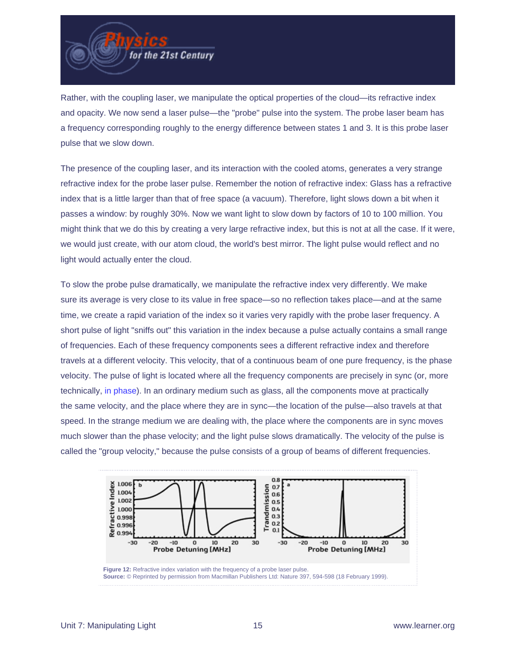

Rather, with the coupling laser, we manipulate the optical properties of the cloud—its refractive index and opacity. We now send a laser pulse—the "probe" pulse into the system. The probe laser beam has a frequency corresponding roughly to the energy difference between states 1 and 3. It is this probe laser pulse that we slow down.

The presence of the coupling laser, and its interaction with the cooled atoms, generates a very strange refractive index for the probe laser pulse. Remember the notion of refractive index: Glass has a refractive index that is a little larger than that of free space (a vacuum). Therefore, light slows down a bit when it passes a window: by roughly 30%. Now we want light to slow down by factors of 10 to 100 million. You might think that we do this by creating a very large refractive index, but this is not at all the case. If it were, we would just create, with our atom cloud, the world's best mirror. The light pulse would reflect and no light would actually enter the cloud.

To slow the probe pulse dramatically, we manipulate the refractive index very differently. We make sure its average is very close to its value in free space—so no reflection takes place—and at the same time, we create a rapid variation of the index so it varies very rapidly with the probe laser frequency. A short pulse of light "sniffs out" this variation in the index because a pulse actually contains a small range of frequencies. Each of these frequency components sees a different refractive index and therefore travels at a different velocity. This velocity, that of a continuous beam of one pure frequency, is the phase velocity. The pulse of light is located where all the frequency components are precisely in sync (or, more technically, [in phase](http://physics.digitalgizmo.com/courses/physics/glossary/definition.html?invariant=phase)). In an ordinary medium such as glass, all the components move at practically the same velocity, and the place where they are in sync—the location of the pulse—also travels at that speed. In the strange medium we are dealing with, the place where the components are in sync moves much slower than the phase velocity; and the light pulse slows dramatically. The velocity of the pulse is called the "group velocity," because the pulse consists of a group of beams of different frequencies.

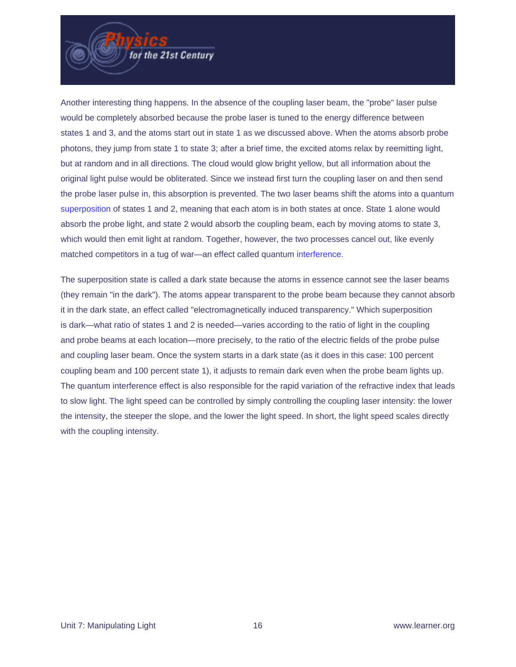

Another interesting thing happens. In the absence of the coupling laser beam, the "probe" laser pulse would be completely absorbed because the probe laser is tuned to the energy difference between states 1 and 3, and the atoms start out in state 1 as we discussed above. When the atoms absorb probe photons, they jump from state 1 to state 3; after a brief time, the excited atoms relax by reemitting light, but at random and in all directions. The cloud would glow bright yellow, but all information about the original light pulse would be obliterated. Since we instead first turn the coupling laser on and then send the probe laser pulse in, this absorption is prevented. The two laser beams shift the atoms into a quantum [superposition](http://physics.digitalgizmo.com/courses/physics/glossary/definition.html?invariant=superposition) of states 1 and 2, meaning that each atom is in both states at once. State 1 alone would absorb the probe light, and state 2 would absorb the coupling beam, each by moving atoms to state 3, which would then emit light at random. Together, however, the two processes cancel out, like evenly matched competitors in a tug of war—an effect called quantum [interference.](http://physics.digitalgizmo.com/courses/physics/glossary/definition.html?invariant=interference)

The superposition state is called a dark state because the atoms in essence cannot see the laser beams (they remain "in the dark"). The atoms appear transparent to the probe beam because they cannot absorb it in the dark state, an effect called "electromagnetically induced transparency." Which superposition is dark—what ratio of states 1 and 2 is needed—varies according to the ratio of light in the coupling and probe beams at each location—more precisely, to the ratio of the electric fields of the probe pulse and coupling laser beam. Once the system starts in a dark state (as it does in this case: 100 percent coupling beam and 100 percent state 1), it adjusts to remain dark even when the probe beam lights up. The quantum interference effect is also responsible for the rapid variation of the refractive index that leads to slow light. The light speed can be controlled by simply controlling the coupling laser intensity: the lower the intensity, the steeper the slope, and the lower the light speed. In short, the light speed scales directly with the coupling intensity.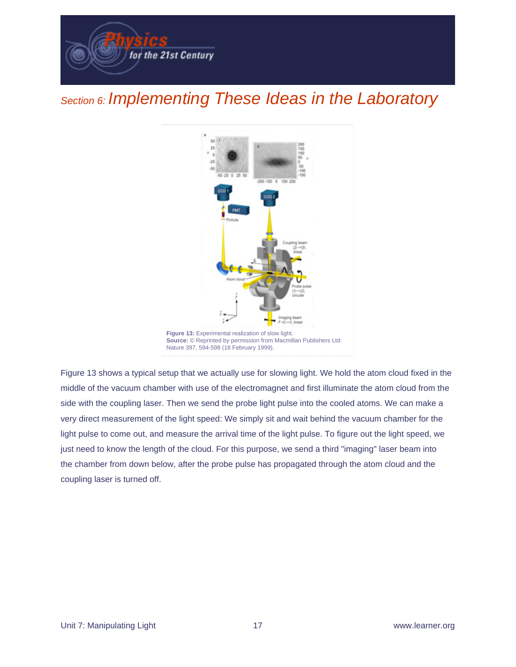

## Section 6: Implementing These Ideas in the Laboratory



Figure 13 shows a typical setup that we actually use for slowing light. We hold the atom cloud fixed in the middle of the vacuum chamber with use of the electromagnet and first illuminate the atom cloud from the side with the coupling laser. Then we send the probe light pulse into the cooled atoms. We can make a very direct measurement of the light speed: We simply sit and wait behind the vacuum chamber for the light pulse to come out, and measure the arrival time of the light pulse. To figure out the light speed, we just need to know the length of the cloud. For this purpose, we send a third "imaging" laser beam into the chamber from down below, after the probe pulse has propagated through the atom cloud and the coupling laser is turned off.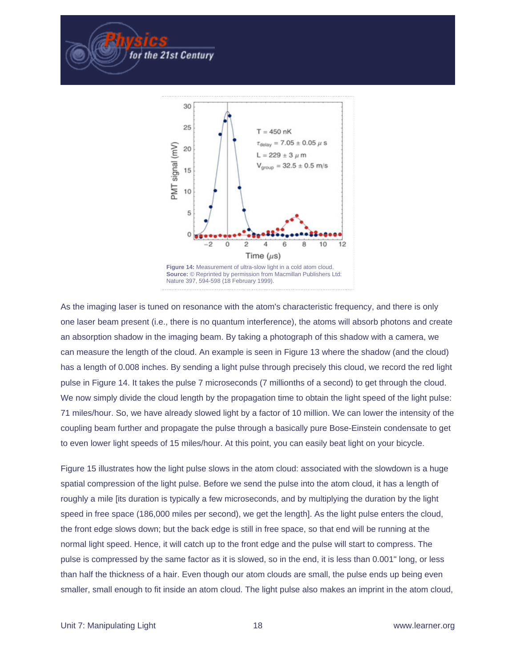

for the 21st Century

As the imaging laser is tuned on resonance with the atom's characteristic frequency, and there is only one laser beam present (i.e., there is no quantum interference), the atoms will absorb photons and create an absorption shadow in the imaging beam. By taking a photograph of this shadow with a camera, we can measure the length of the cloud. An example is seen in Figure 13 where the shadow (and the cloud) has a length of 0.008 inches. By sending a light pulse through precisely this cloud, we record the red light pulse in Figure 14. It takes the pulse 7 microseconds (7 millionths of a second) to get through the cloud. We now simply divide the cloud length by the propagation time to obtain the light speed of the light pulse: 71 miles/hour. So, we have already slowed light by a factor of 10 million. We can lower the intensity of the coupling beam further and propagate the pulse through a basically pure Bose-Einstein condensate to get to even lower light speeds of 15 miles/hour. At this point, you can easily beat light on your bicycle.

Figure 15 illustrates how the light pulse slows in the atom cloud: associated with the slowdown is a huge spatial compression of the light pulse. Before we send the pulse into the atom cloud, it has a length of roughly a mile [its duration is typically a few microseconds, and by multiplying the duration by the light speed in free space (186,000 miles per second), we get the length]. As the light pulse enters the cloud, the front edge slows down; but the back edge is still in free space, so that end will be running at the normal light speed. Hence, it will catch up to the front edge and the pulse will start to compress. The pulse is compressed by the same factor as it is slowed, so in the end, it is less than 0.001" long, or less than half the thickness of a hair. Even though our atom clouds are small, the pulse ends up being even smaller, small enough to fit inside an atom cloud. The light pulse also makes an imprint in the atom cloud,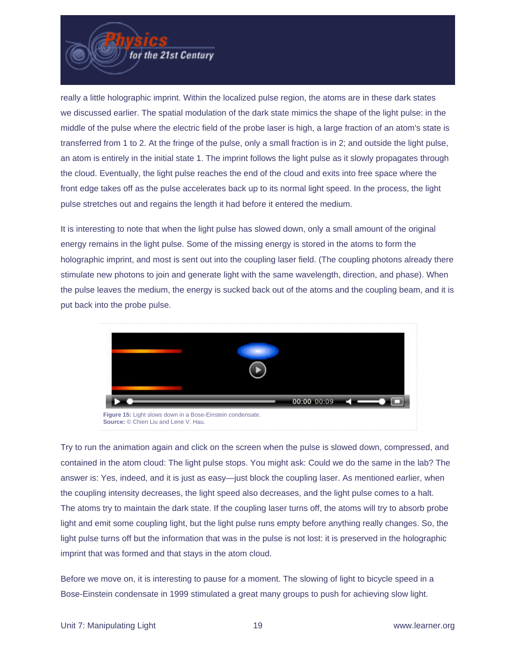

really a little holographic imprint. Within the localized pulse region, the atoms are in these dark states we discussed earlier. The spatial modulation of the dark state mimics the shape of the light pulse: in the middle of the pulse where the electric field of the probe laser is high, a large fraction of an atom's state is transferred from 1 to 2. At the fringe of the pulse, only a small fraction is in 2; and outside the light pulse, an atom is entirely in the initial state 1. The imprint follows the light pulse as it slowly propagates through the cloud. Eventually, the light pulse reaches the end of the cloud and exits into free space where the front edge takes off as the pulse accelerates back up to its normal light speed. In the process, the light pulse stretches out and regains the length it had before it entered the medium.

It is interesting to note that when the light pulse has slowed down, only a small amount of the original energy remains in the light pulse. Some of the missing energy is stored in the atoms to form the holographic imprint, and most is sent out into the coupling laser field. (The coupling photons already there stimulate new photons to join and generate light with the same wavelength, direction, and phase). When the pulse leaves the medium, the energy is sucked back out of the atoms and the coupling beam, and it is put back into the probe pulse.



Try to run the animation again and click on the screen when the pulse is slowed down, compressed, and contained in the atom cloud: The light pulse stops. You might ask: Could we do the same in the lab? The answer is: Yes, indeed, and it is just as easy—just block the coupling laser. As mentioned earlier, when the coupling intensity decreases, the light speed also decreases, and the light pulse comes to a halt. The atoms try to maintain the dark state. If the coupling laser turns off, the atoms will try to absorb probe light and emit some coupling light, but the light pulse runs empty before anything really changes. So, the light pulse turns off but the information that was in the pulse is not lost: it is preserved in the holographic imprint that was formed and that stays in the atom cloud.

Before we move on, it is interesting to pause for a moment. The slowing of light to bicycle speed in a Bose-Einstein condensate in 1999 stimulated a great many groups to push for achieving slow light.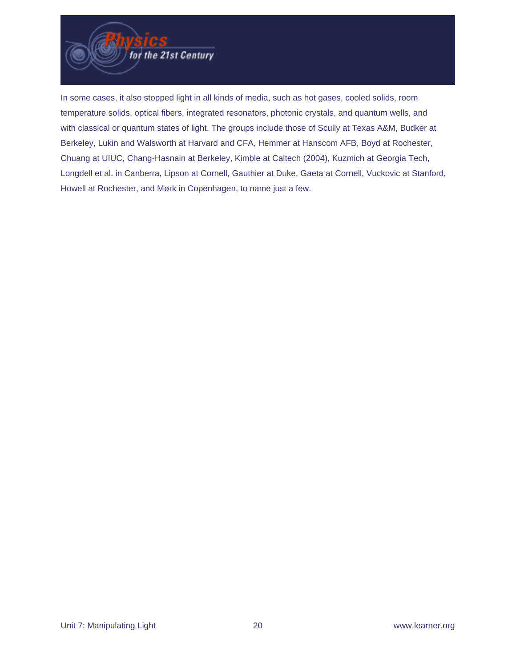

In some cases, it also stopped light in all kinds of media, such as hot gases, cooled solids, room temperature solids, optical fibers, integrated resonators, photonic crystals, and quantum wells, and with classical or quantum states of light. The groups include those of Scully at Texas A&M, Budker at Berkeley, Lukin and Walsworth at Harvard and CFA, Hemmer at Hanscom AFB, Boyd at Rochester, Chuang at UIUC, Chang-Hasnain at Berkeley, Kimble at Caltech (2004), Kuzmich at Georgia Tech, Longdell et al. in Canberra, Lipson at Cornell, Gauthier at Duke, Gaeta at Cornell, Vuckovic at Stanford, Howell at Rochester, and Mørk in Copenhagen, to name just a few.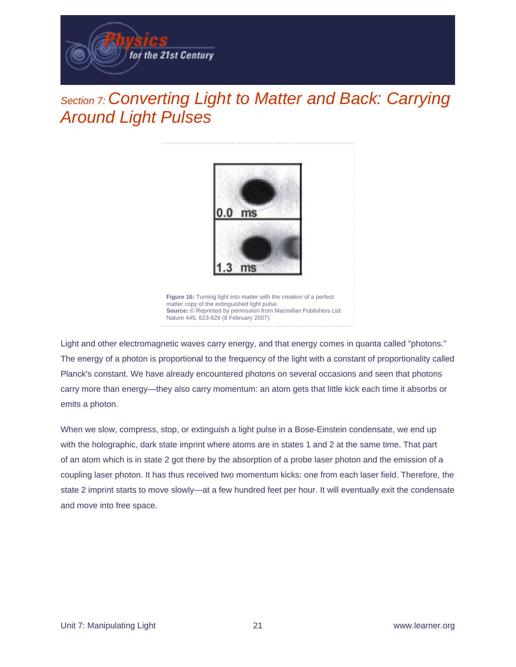

## Section 7: Converting Light to Matter and Back: Carrying Around Light Pulses



Light and other electromagnetic waves carry energy, and that energy comes in quanta called "photons." The energy of a photon is proportional to the frequency of the light with a constant of proportionality called Planck's constant. We have already encountered photons on several occasions and seen that photons carry more than energy—they also carry momentum: an atom gets that little kick each time it absorbs or

Nature 445, 623-626 (8 February 2007).

emits a photon.

When we slow, compress, stop, or extinguish a light pulse in a Bose-Einstein condensate, we end up with the holographic, dark state imprint where atoms are in states 1 and 2 at the same time. That part of an atom which is in state 2 got there by the absorption of a probe laser photon and the emission of a coupling laser photon. It has thus received two momentum kicks: one from each laser field. Therefore, the state 2 imprint starts to move slowly—at a few hundred feet per hour. It will eventually exit the condensate and move into free space.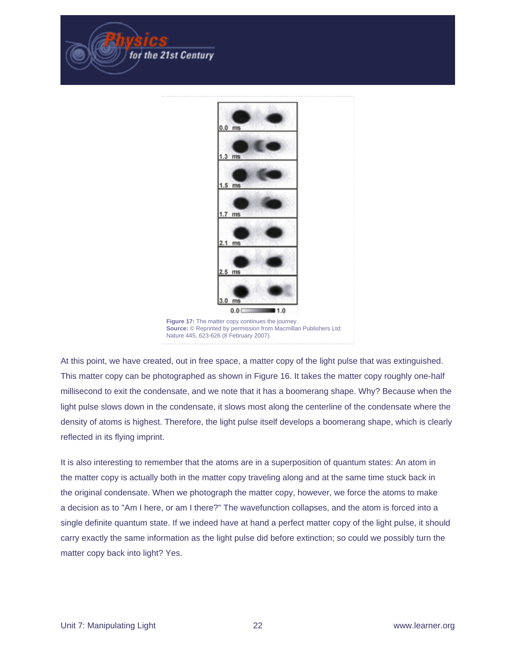



At this point, we have created, out in free space, a matter copy of the light pulse that was extinguished. This matter copy can be photographed as shown in Figure 16. It takes the matter copy roughly one-half millisecond to exit the condensate, and we note that it has a boomerang shape. Why? Because when the light pulse slows down in the condensate, it slows most along the centerline of the condensate where the density of atoms is highest. Therefore, the light pulse itself develops a boomerang shape, which is clearly reflected in its flying imprint.

It is also interesting to remember that the atoms are in a superposition of quantum states: An atom in the matter copy is actually both in the matter copy traveling along and at the same time stuck back in the original condensate. When we photograph the matter copy, however, we force the atoms to make a decision as to "Am I here, or am I there?" The wavefunction collapses, and the atom is forced into a single definite quantum state. If we indeed have at hand a perfect matter copy of the light pulse, it should carry exactly the same information as the light pulse did before extinction; so could we possibly turn the matter copy back into light? Yes.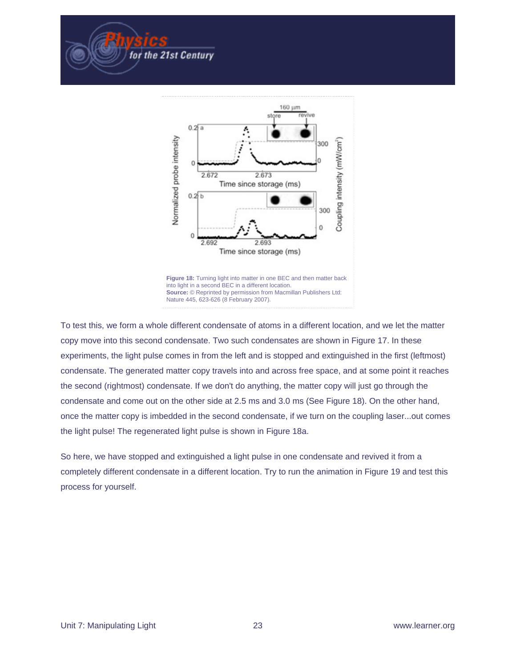

for the 21st Century

To test this, we form a whole different condensate of atoms in a different location, and we let the matter copy move into this second condensate. Two such condensates are shown in Figure 17. In these experiments, the light pulse comes in from the left and is stopped and extinguished in the first (leftmost) condensate. The generated matter copy travels into and across free space, and at some point it reaches the second (rightmost) condensate. If we don't do anything, the matter copy will just go through the condensate and come out on the other side at 2.5 ms and 3.0 ms (See Figure 18). On the other hand, once the matter copy is imbedded in the second condensate, if we turn on the coupling laser...out comes the light pulse! The regenerated light pulse is shown in Figure 18a.

So here, we have stopped and extinguished a light pulse in one condensate and revived it from a completely different condensate in a different location. Try to run the animation in Figure 19 and test this process for yourself.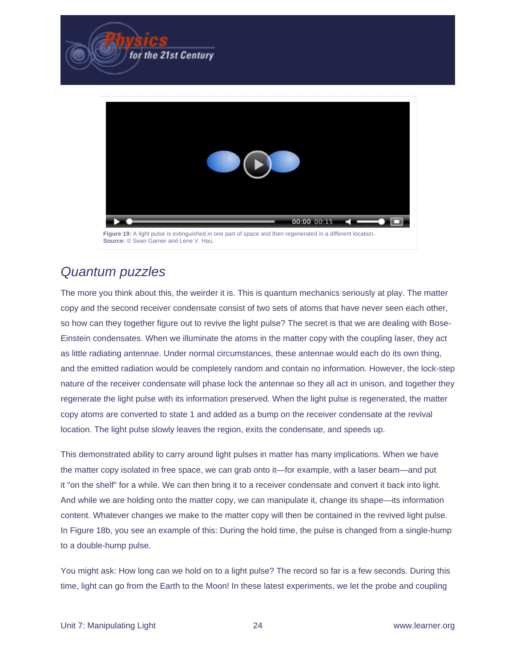

#### Quantum puzzles

The more you think about this, the weirder it is. This is quantum mechanics seriously at play. The matter copy and the second receiver condensate consist of two sets of atoms that have never seen each other, so how can they together figure out to revive the light pulse? The secret is that we are dealing with Bose-Einstein condensates. When we illuminate the atoms in the matter copy with the coupling laser, they act as little radiating antennae. Under normal circumstances, these antennae would each do its own thing, and the emitted radiation would be completely random and contain no information. However, the lock-step nature of the receiver condensate will phase lock the antennae so they all act in unison, and together they regenerate the light pulse with its information preserved. When the light pulse is regenerated, the matter copy atoms are converted to state 1 and added as a bump on the receiver condensate at the revival location. The light pulse slowly leaves the region, exits the condensate, and speeds up.

This demonstrated ability to carry around light pulses in matter has many implications. When we have the matter copy isolated in free space, we can grab onto it—for example, with a laser beam—and put it "on the shelf" for a while. We can then bring it to a receiver condensate and convert it back into light. And while we are holding onto the matter copy, we can manipulate it, change its shape—its information content. Whatever changes we make to the matter copy will then be contained in the revived light pulse. In Figure 18b, you see an example of this: During the hold time, the pulse is changed from a single-hump to a double-hump pulse.

You might ask: How long can we hold on to a light pulse? The record so far is a few seconds. During this time, light can go from the Earth to the Moon! In these latest experiments, we let the probe and coupling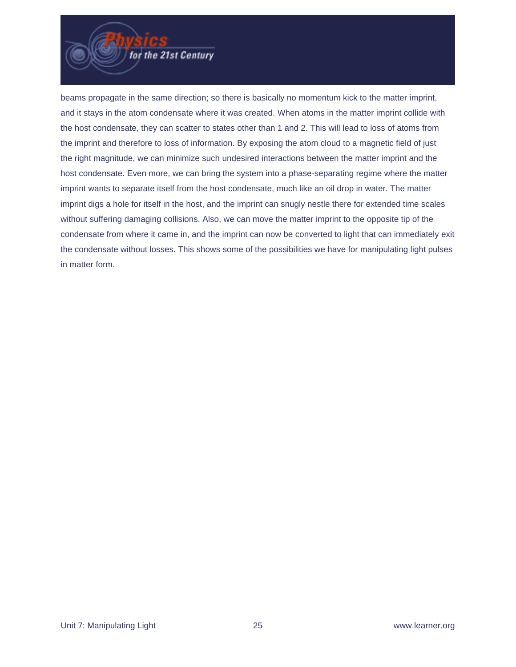

beams propagate in the same direction; so there is basically no momentum kick to the matter imprint, and it stays in the atom condensate where it was created. When atoms in the matter imprint collide with the host condensate, they can scatter to states other than 1 and 2. This will lead to loss of atoms from the imprint and therefore to loss of information. By exposing the atom cloud to a magnetic field of just the right magnitude, we can minimize such undesired interactions between the matter imprint and the host condensate. Even more, we can bring the system into a phase-separating regime where the matter imprint wants to separate itself from the host condensate, much like an oil drop in water. The matter imprint digs a hole for itself in the host, and the imprint can snugly nestle there for extended time scales without suffering damaging collisions. Also, we can move the matter imprint to the opposite tip of the condensate from where it came in, and the imprint can now be converted to light that can immediately exit the condensate without losses. This shows some of the possibilities we have for manipulating light pulses in matter form.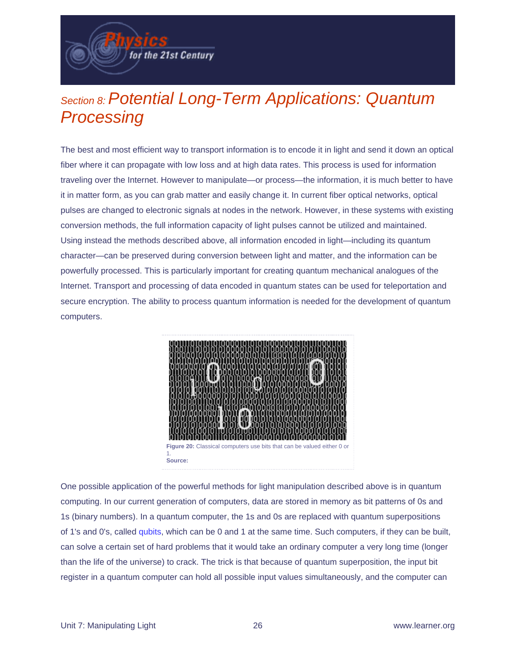Section 8: Potential Long-Term Applications: Quantum **Processing** 

for the 21st Century

The best and most efficient way to transport information is to encode it in light and send it down an optical fiber where it can propagate with low loss and at high data rates. This process is used for information traveling over the Internet. However to manipulate—or process—the information, it is much better to have it in matter form, as you can grab matter and easily change it. In current fiber optical networks, optical pulses are changed to electronic signals at nodes in the network. However, in these systems with existing conversion methods, the full information capacity of light pulses cannot be utilized and maintained. Using instead the methods described above, all information encoded in light—including its quantum character—can be preserved during conversion between light and matter, and the information can be powerfully processed. This is particularly important for creating quantum mechanical analogues of the Internet. Transport and processing of data encoded in quantum states can be used for teleportation and secure encryption. The ability to process quantum information is needed for the development of quantum computers.



One possible application of the powerful methods for light manipulation described above is in quantum computing. In our current generation of computers, data are stored in memory as bit patterns of 0s and 1s (binary numbers). In a quantum computer, the 1s and 0s are replaced with quantum superpositions of 1's and 0's, called [qubits](http://physics.digitalgizmo.com/courses/physics/glossary/definition.html?invariant=qubit), which can be 0 and 1 at the same time. Such computers, if they can be built, can solve a certain set of hard problems that it would take an ordinary computer a very long time (longer than the life of the universe) to crack. The trick is that because of quantum superposition, the input bit register in a quantum computer can hold all possible input values simultaneously, and the computer can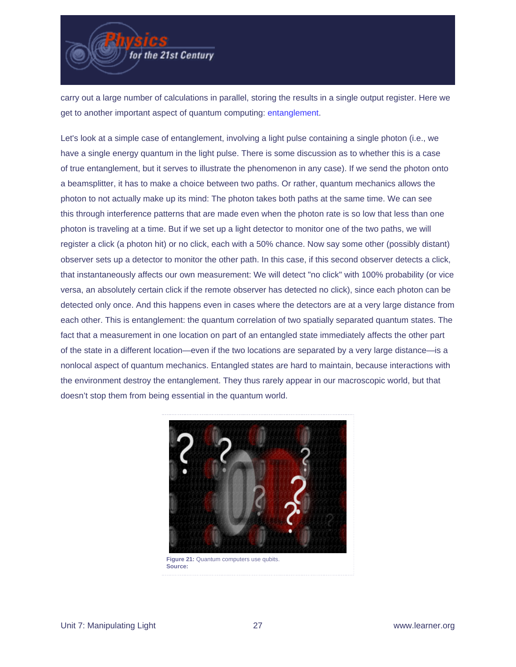

carry out a large number of calculations in parallel, storing the results in a single output register. Here we get to another important aspect of quantum computing: [entanglement](http://physics.digitalgizmo.com/courses/physics/glossary/definition.html?invariant=entanglement).

Let's look at a simple case of entanglement, involving a light pulse containing a single photon (i.e., we have a single energy quantum in the light pulse. There is some discussion as to whether this is a case of true entanglement, but it serves to illustrate the phenomenon in any case). If we send the photon onto a beamsplitter, it has to make a choice between two paths. Or rather, quantum mechanics allows the photon to not actually make up its mind: The photon takes both paths at the same time. We can see this through interference patterns that are made even when the photon rate is so low that less than one photon is traveling at a time. But if we set up a light detector to monitor one of the two paths, we will register a click (a photon hit) or no click, each with a 50% chance. Now say some other (possibly distant) observer sets up a detector to monitor the other path. In this case, if this second observer detects a click, that instantaneously affects our own measurement: We will detect "no click" with 100% probability (or vice versa, an absolutely certain click if the remote observer has detected no click), since each photon can be detected only once. And this happens even in cases where the detectors are at a very large distance from each other. This is entanglement: the quantum correlation of two spatially separated quantum states. The fact that a measurement in one location on part of an entangled state immediately affects the other part of the state in a different location—even if the two locations are separated by a very large distance—is a nonlocal aspect of quantum mechanics. Entangled states are hard to maintain, because interactions with the environment destroy the entanglement. They thus rarely appear in our macroscopic world, but that doesn't stop them from being essential in the quantum world.

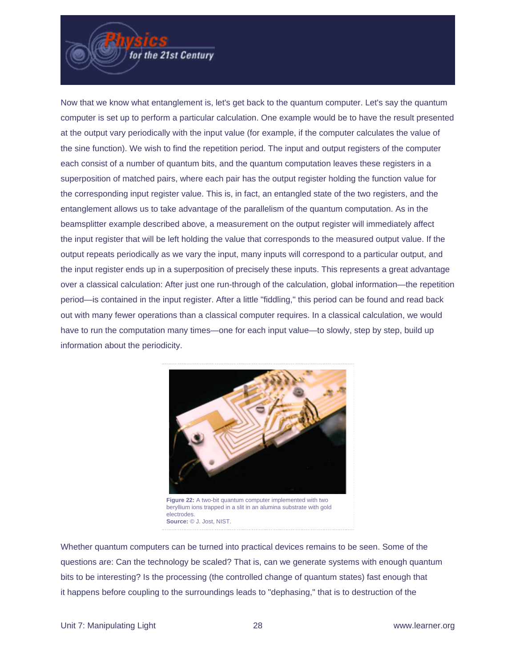Now that we know what entanglement is, let's get back to the quantum computer. Let's say the quantum computer is set up to perform a particular calculation. One example would be to have the result presented at the output vary periodically with the input value (for example, if the computer calculates the value of the sine function). We wish to find the repetition period. The input and output registers of the computer each consist of a number of quantum bits, and the quantum computation leaves these registers in a superposition of matched pairs, where each pair has the output register holding the function value for the corresponding input register value. This is, in fact, an entangled state of the two registers, and the entanglement allows us to take advantage of the parallelism of the quantum computation. As in the beamsplitter example described above, a measurement on the output register will immediately affect the input register that will be left holding the value that corresponds to the measured output value. If the output repeats periodically as we vary the input, many inputs will correspond to a particular output, and the input register ends up in a superposition of precisely these inputs. This represents a great advantage over a classical calculation: After just one run-through of the calculation, global information—the repetition period—is contained in the input register. After a little "fiddling," this period can be found and read back out with many fewer operations than a classical computer requires. In a classical calculation, we would have to run the computation many times—one for each input value—to slowly, step by step, build up information about the periodicity.

for the 21st Century



**Figure 22:** A two-bit quantum computer implemented with two beryllium ions trapped in a slit in an alumina substrate with gold electrodes. **Source:** © J. Jost, NIST.

Whether quantum computers can be turned into practical devices remains to be seen. Some of the questions are: Can the technology be scaled? That is, can we generate systems with enough quantum bits to be interesting? Is the processing (the controlled change of quantum states) fast enough that it happens before coupling to the surroundings leads to "dephasing," that is to destruction of the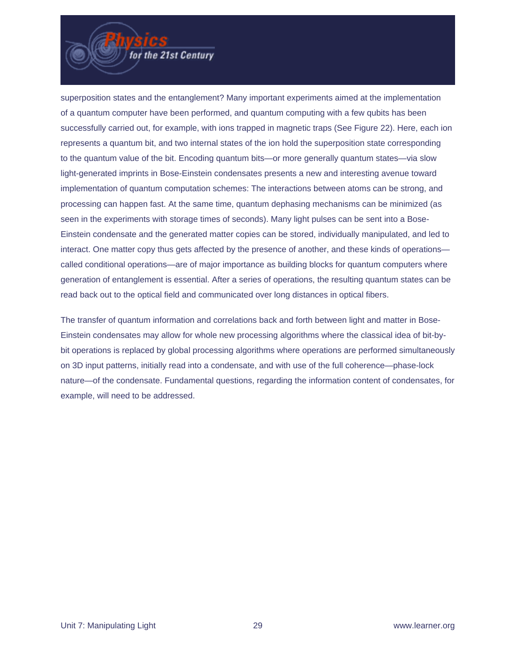

superposition states and the entanglement? Many important experiments aimed at the implementation of a quantum computer have been performed, and quantum computing with a few qubits has been successfully carried out, for example, with ions trapped in magnetic traps (See Figure 22). Here, each ion represents a quantum bit, and two internal states of the ion hold the superposition state corresponding to the quantum value of the bit. Encoding quantum bits—or more generally quantum states—via slow light-generated imprints in Bose-Einstein condensates presents a new and interesting avenue toward implementation of quantum computation schemes: The interactions between atoms can be strong, and processing can happen fast. At the same time, quantum dephasing mechanisms can be minimized (as seen in the experiments with storage times of seconds). Many light pulses can be sent into a Bose-Einstein condensate and the generated matter copies can be stored, individually manipulated, and led to interact. One matter copy thus gets affected by the presence of another, and these kinds of operations called conditional operations—are of major importance as building blocks for quantum computers where generation of entanglement is essential. After a series of operations, the resulting quantum states can be read back out to the optical field and communicated over long distances in optical fibers.

The transfer of quantum information and correlations back and forth between light and matter in Bose-Einstein condensates may allow for whole new processing algorithms where the classical idea of bit-bybit operations is replaced by global processing algorithms where operations are performed simultaneously on 3D input patterns, initially read into a condensate, and with use of the full coherence—phase-lock nature—of the condensate. Fundamental questions, regarding the information content of condensates, for example, will need to be addressed.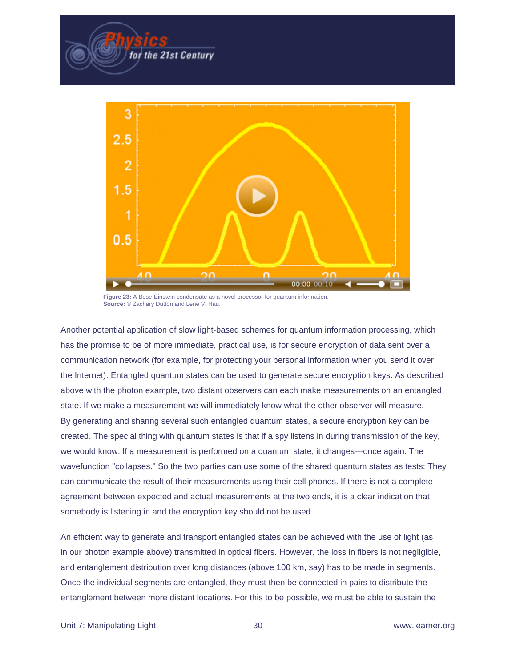

for the 21st Century

Another potential application of slow light-based schemes for quantum information processing, which has the promise to be of more immediate, practical use, is for secure encryption of data sent over a communication network (for example, for protecting your personal information when you send it over the Internet). Entangled quantum states can be used to generate secure encryption keys. As described above with the photon example, two distant observers can each make measurements on an entangled state. If we make a measurement we will immediately know what the other observer will measure. By generating and sharing several such entangled quantum states, a secure encryption key can be created. The special thing with quantum states is that if a spy listens in during transmission of the key, we would know: If a measurement is performed on a quantum state, it changes—once again: The wavefunction "collapses." So the two parties can use some of the shared quantum states as tests: They can communicate the result of their measurements using their cell phones. If there is not a complete agreement between expected and actual measurements at the two ends, it is a clear indication that somebody is listening in and the encryption key should not be used.

An efficient way to generate and transport entangled states can be achieved with the use of light (as in our photon example above) transmitted in optical fibers. However, the loss in fibers is not negligible, and entanglement distribution over long distances (above 100 km, say) has to be made in segments. Once the individual segments are entangled, they must then be connected in pairs to distribute the entanglement between more distant locations. For this to be possible, we must be able to sustain the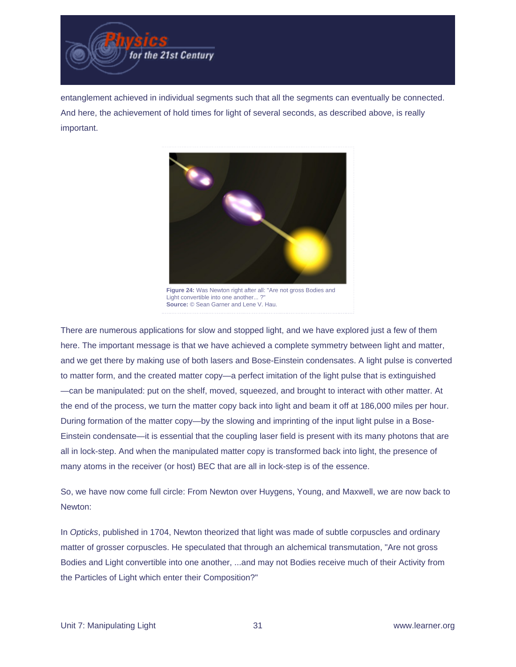

entanglement achieved in individual segments such that all the segments can eventually be connected. And here, the achievement of hold times for light of several seconds, as described above, is really important.



**Figure 24:** Was Newton right after all: "Are not gross Bodies and Light convertible into one another...? **Source:** © Sean Garner and Lene V. Hau.

There are numerous applications for slow and stopped light, and we have explored just a few of them here. The important message is that we have achieved a complete symmetry between light and matter, and we get there by making use of both lasers and Bose-Einstein condensates. A light pulse is converted to matter form, and the created matter copy—a perfect imitation of the light pulse that is extinguished —can be manipulated: put on the shelf, moved, squeezed, and brought to interact with other matter. At the end of the process, we turn the matter copy back into light and beam it off at 186,000 miles per hour. During formation of the matter copy—by the slowing and imprinting of the input light pulse in a Bose-Einstein condensate—it is essential that the coupling laser field is present with its many photons that are all in lock-step. And when the manipulated matter copy is transformed back into light, the presence of many atoms in the receiver (or host) BEC that are all in lock-step is of the essence.

So, we have now come full circle: From Newton over Huygens, Young, and Maxwell, we are now back to Newton:

In Opticks, published in 1704, Newton theorized that light was made of subtle corpuscles and ordinary matter of grosser corpuscles. He speculated that through an alchemical transmutation, "Are not gross Bodies and Light convertible into one another, ...and may not Bodies receive much of their Activity from the Particles of Light which enter their Composition?"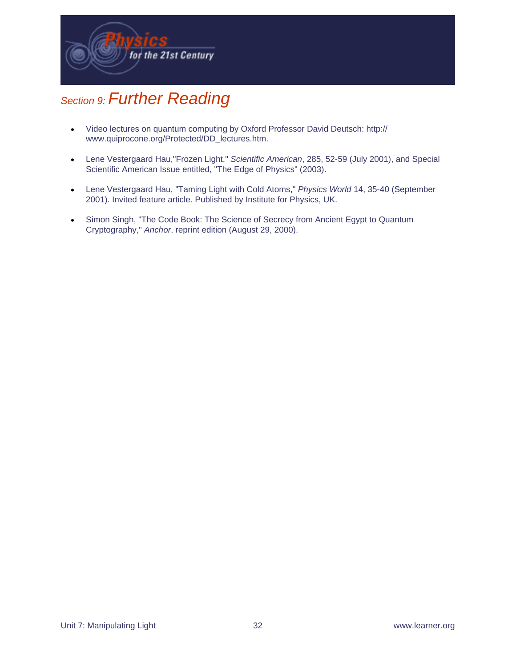

# Section 9: Further Reading

- Video lectures on quantum computing by Oxford Professor David Deutsch: http:// www.quiprocone.org/Protected/DD\_lectures.htm.
- Lene Vestergaard Hau, "Frozen Light," Scientific American, 285, 52-59 (July 2001), and Special Scientific American Issue entitled, "The Edge of Physics" (2003).
- Lene Vestergaard Hau, "Taming Light with Cold Atoms," Physics World 14, 35-40 (September 2001). Invited feature article. Published by Institute for Physics, UK.
- Simon Singh, "The Code Book: The Science of Secrecy from Ancient Egypt to Quantum Cryptography," Anchor, reprint edition (August 29, 2000).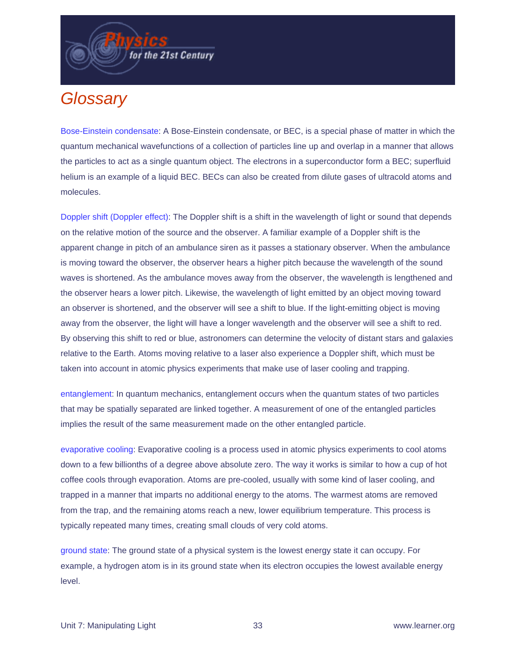

for the 21st Century

Bose-Einstein condensate: A Bose-Einstein condensate, or BEC, is a special phase of matter in which the quantum mechanical wavefunctions of a collection of particles line up and overlap in a manner that allows the particles to act as a single quantum object. The electrons in a superconductor form a BEC; superfluid helium is an example of a liquid BEC. BECs can also be created from dilute gases of ultracold atoms and molecules.

Doppler shift (Doppler effect): The Doppler shift is a shift in the wavelength of light or sound that depends on the relative motion of the source and the observer. A familiar example of a Doppler shift is the apparent change in pitch of an ambulance siren as it passes a stationary observer. When the ambulance is moving toward the observer, the observer hears a higher pitch because the wavelength of the sound waves is shortened. As the ambulance moves away from the observer, the wavelength is lengthened and the observer hears a lower pitch. Likewise, the wavelength of light emitted by an object moving toward an observer is shortened, and the observer will see a shift to blue. If the light-emitting object is moving away from the observer, the light will have a longer wavelength and the observer will see a shift to red. By observing this shift to red or blue, astronomers can determine the velocity of distant stars and galaxies relative to the Earth. Atoms moving relative to a laser also experience a Doppler shift, which must be taken into account in atomic physics experiments that make use of laser cooling and trapping.

entanglement: In quantum mechanics, entanglement occurs when the quantum states of two particles that may be spatially separated are linked together. A measurement of one of the entangled particles implies the result of the same measurement made on the other entangled particle.

evaporative cooling: Evaporative cooling is a process used in atomic physics experiments to cool atoms down to a few billionths of a degree above absolute zero. The way it works is similar to how a cup of hot coffee cools through evaporation. Atoms are pre-cooled, usually with some kind of laser cooling, and trapped in a manner that imparts no additional energy to the atoms. The warmest atoms are removed from the trap, and the remaining atoms reach a new, lower equilibrium temperature. This process is typically repeated many times, creating small clouds of very cold atoms.

ground state: The ground state of a physical system is the lowest energy state it can occupy. For example, a hydrogen atom is in its ground state when its electron occupies the lowest available energy level.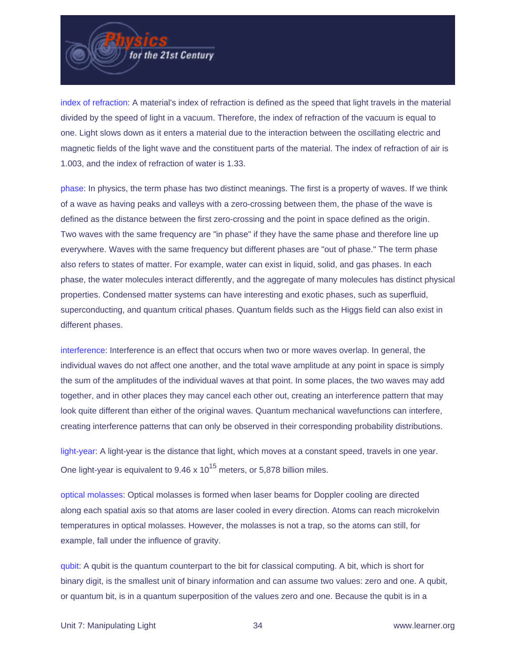

index of refraction: A material's index of refraction is defined as the speed that light travels in the material divided by the speed of light in a vacuum. Therefore, the index of refraction of the vacuum is equal to one. Light slows down as it enters a material due to the interaction between the oscillating electric and magnetic fields of the light wave and the constituent parts of the material. The index of refraction of air is 1.003, and the index of refraction of water is 1.33.

phase: In physics, the term phase has two distinct meanings. The first is a property of waves. If we think of a wave as having peaks and valleys with a zero-crossing between them, the phase of the wave is defined as the distance between the first zero-crossing and the point in space defined as the origin. Two waves with the same frequency are "in phase" if they have the same phase and therefore line up everywhere. Waves with the same frequency but different phases are "out of phase." The term phase also refers to states of matter. For example, water can exist in liquid, solid, and gas phases. In each phase, the water molecules interact differently, and the aggregate of many molecules has distinct physical properties. Condensed matter systems can have interesting and exotic phases, such as superfluid, superconducting, and quantum critical phases. Quantum fields such as the Higgs field can also exist in different phases.

interference: Interference is an effect that occurs when two or more waves overlap. In general, the individual waves do not affect one another, and the total wave amplitude at any point in space is simply the sum of the amplitudes of the individual waves at that point. In some places, the two waves may add together, and in other places they may cancel each other out, creating an interference pattern that may look quite different than either of the original waves. Quantum mechanical wavefunctions can interfere, creating interference patterns that can only be observed in their corresponding probability distributions.

light-year: A light-year is the distance that light, which moves at a constant speed, travels in one year. One light-year is equivalent to  $9.46 \times 10^{15}$  meters, or 5,878 billion miles.

optical molasses: Optical molasses is formed when laser beams for Doppler cooling are directed along each spatial axis so that atoms are laser cooled in every direction. Atoms can reach microkelvin temperatures in optical molasses. However, the molasses is not a trap, so the atoms can still, for example, fall under the influence of gravity.

qubit: A qubit is the quantum counterpart to the bit for classical computing. A bit, which is short for binary digit, is the smallest unit of binary information and can assume two values: zero and one. A qubit, or quantum bit, is in a quantum superposition of the values zero and one. Because the qubit is in a